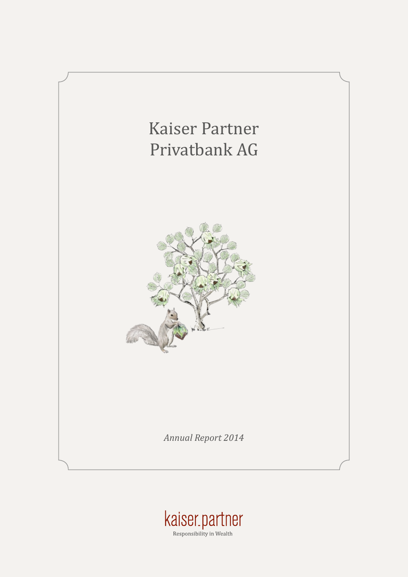

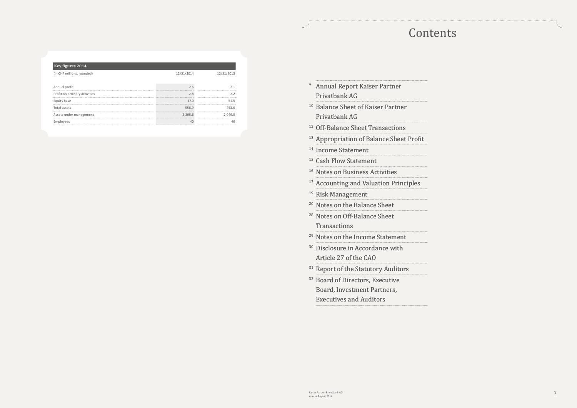| $\overline{4}$ | <b>Annual Report Kaiser Partner</b>           |
|----------------|-----------------------------------------------|
|                | Privatbank AG                                 |
|                | <sup>10</sup> Balance Sheet of Kaiser Partner |
|                | Privatbank AG                                 |
| 12             | <b>Off-Balance Sheet Transactions</b>         |
| 13             | <b>Appropriation of Balance Sheet Profit</b>  |
| 14             | <b>Income Statement</b>                       |
| 15             | <b>Cash Flow Statement</b>                    |
| 16             | <b>Notes on Business Activities</b>           |
| $17\,$         | <b>Accounting and Valuation Principles</b>    |
| 19             | <b>Risk Management</b>                        |
| $20\,$         | Notes on the Balance Sheet                    |
| 28             | Notes on Off-Balance Sheet                    |
|                | Transactions                                  |
|                | <sup>29</sup> Notes on the Income Statement   |
| 30             | Disclosure in Accordance with                 |
|                | Article 27 of the CAO                         |
| 31             | <b>Report of the Statutory Auditors</b>       |
| 32             | <b>Board of Directors, Executive</b>          |
|                | <b>Board, Investment Partners,</b>            |
|                | <b>Executives and Auditors</b>                |

## **Contents**

| <b>Key figures 2014</b>       |            |            |
|-------------------------------|------------|------------|
| (in CHF millions, rounded)    | 12/31/2014 | 12/31/2013 |
| Annual profit                 |            |            |
| Profit on ordinary activities | 2.8        |            |
| Equity base                   | 47.0       | 51 5       |
| Total assets                  | 558.9      | 453.6      |
| Assets under management       | 2,395.6    | 2.049.0    |
| Employees                     | 40         |            |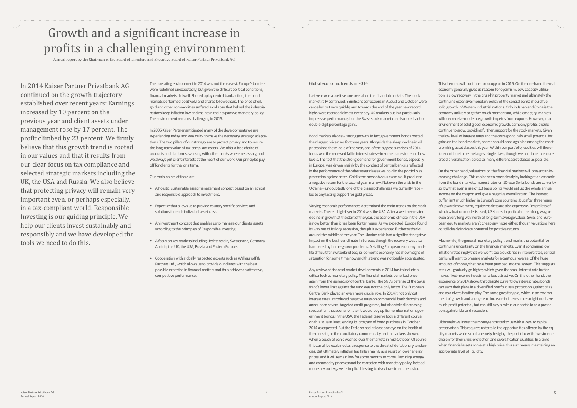## Growth and a significant increase in profits in a challenging environment

Annual report by the Chairman of the Board of Directors and Executive Board of Kaiser Partner Privatbank AG

In 2014 Kaiser Partner Privatbank AG continued on the growth trajectory established over recent years: Earnings increased by 10 percent on the previous year and client assets under management rose by 17 percent. The profit climbed by 23 percent. We firmly believe that this growth trend is rooted in our values and that it results from our clear focus on tax compliance and selected strategic markets including the UK, the USA and Russia. We also believe that protecting privacy will remain very important even, or perhaps especially, in a tax-compliant world. Responsible Investing is our guiding principle. We help our clients invest sustainably and responsibly and we have developed the tools we need to do this.

The operating environment in 2014 was not the easiest. Europe's borders were redefined unexpectedly; but given the difficult political conditions, financial markets did well. Shored up by central bank action, the bond markets performed positively, and shares followed suit. The price of oil, gold and other commodities suffered a collapse that helped the industrial nations keep inflation low and maintain their expansive monetary policy. The environment remains challenging in 2015.

In 2006 Kaiser Partner anticipated many of the developments we are experiencing today, and was quick to make the necessary strategic adaptations. The two pillars of our strategy are to protect privacy and to secure the long-term value of tax-compliant assets. We offer a free choice of products and platforms, working with other banks where necessary, and we always put client interests at the heart of our work. Our principles pay off for clients for the long term.

Our main points of focus are:

- A holistic, sustainable asset management concept based on an ethical and responsible approach to investment.
- Expertise that allows us to provide country-specific services and solutions for each individual asset class.
- An investment concept that enables us to manage our clients' assets according to the principles of Responsible Investing.
- A focus on key markets including Liechtenstein, Switzerland, Germany, Austria, the UK, the USA, Russia and Eastern Europe.
- Cooperation with globally respected experts such as Wellershoff & Partners Ltd., which allows us to provide our clients with the best possible expertise in financial matters and thus achieve an attractive, competitive performance.

#### Global economic trends in 2014

Last year was a positive one overall on the financial markets. The stock market rally continued. Significant corrections in August and October were cancelled out very quickly, and towards the end of the year new record highs were recorded almost every day. US markets put in a particularly impressive performance, but the Swiss stock market can also look back on double-digit percentage gains.

Bond markets also saw strong growth. In fact government bonds posted their largest price rises for three years. Alongside the sharp decline in oil prices since the middle of the year, one of the biggest surprises of 2014 for us was the renewed fall in interest rates – in some places to record low levels. The fact that the strong demand for government bonds, especially in Europe, was driven mainly by the conduct of central banks is reflected in the performance of the other asset classes we hold in the portfolio as protection against crises. Gold is the most obvious example. It produced a negative return for the second year in a row. Not even the crisis in the Ukraine – undoubtedly one of the biggest challenges we currently face – led to any lasting support for gold prices.

Varying economic performances determined the main trends on the stock markets. The real high-flyer in 2014 was the USA. After a weather-related decline in growth at the start of the year, the economic climate in the USA is now better than it has been for ten years. As we expected, Europe found its way out of its long recession, though it experienced further setbacks around the middle of the year. The Ukraine crisis had a significant negative impact on the business climate in Europe, though the recovery was also hampered by home-grown problems. A stalling European economy made life difficult for Switzerland too; its domestic economy has shown signs of saturation for some time now and this trend was noticeably accentuated.

Any review of financial market developments in 2014 has to include a critical look at monetary policy. The financial markets benefited once again from the generosity of central banks. The SNB's defense of the Swiss franc's lower limit against the euro was not the only factor. The European Central Bank played an even more crucial role. In 2014 it not only cut interest rates, introduced negative rates on commercial bank deposits and announced several targeted credit programs, but also stoked increasing speculation that sooner or later it would buy up its member nation's government bonds. In the USA, the Federal Reserve took a different course, on this issue at least, ending its program of bond purchases in October 2014 as expected. But the Fed also had at least one eye on the health of the markets, as the conciliatory comments by central bankers showed when a touch of panic washed over the markets in mid-October. Of course this can all be explained as a response to the threat of deflationary tendencies. But ultimately inflation has fallen mainly as a result of lower energy prices, and it will remain low for some months to come. Declining energy and commodity prices cannot be corrected with monetary policy. Instead monetary policy gave its implicit blessing to risky investment behavior.

This dilemma will continue to occupy us in 2015. On the one hand the real economy generally gives us reasons for optimism. Low capacity utilization, a slow recovery in the crisis-hit property market and ultimately the continuing expansive monetary policy of the central banks should fuel solid growth in Western industrial nations. Only in Japan and China is the economy unlikely to gather much momentum, while emerging markets will only receive moderate growth impetus from exports. However, in an environment of solid global economic growth, company profits should continue to grow, providing further support for the stock markets. Given the low level of interest rates and the correspondingly small potential for gains on the bond markets, shares should once again be among the most promising asset classes this year. Within our portfolio, equities will therefore continue to be the largest single class, though we continue to ensure broad diversification across as many different asset classes as possible.

On the other hand, valuations on the financial markets will present an increasing challenge. This can be seen most clearly by looking at an example from the bond markets. Interest rates on 10-year Swiss bonds are currently so low that even a rise of 3.3 basis points would eat up the whole annual income on the coupon and give a negative overall return. The interest buffer isn't much higher in Europe's core countries. But after three years of upward movement, equity markets are also expensive. Regardless of which valuation model is used, US shares in particular are a long way, or even a very long way north of long-term average values. Swiss and European equity markets aren't cheap any more either, though valuations here do still clearly indicate potential for positive returns.

Meanwhile, the general monetary policy trend masks the potential for continuing uncertainty on the financial markets. Even if continuing low inflation rates imply that we won't see a quick rise in interest rates, central banks will want to prepare markets for a cautious reversal of the huge amounts of money that have been pumped into the system. This suggests rates will gradually go higher, which given the small interest rate buffer makes fixed-income investments less attractive. On the other hand, the experience of 2014 shows that despite current low interest rates bonds can earn their place in a diversified portfolio as a protection against crisis and as a diversification play. The same goes for gold, which in an environment of growth and a long-term increase in interest rates might not have much profit potential, but can still play a role in our portfolio as a protection against risks and recession.

Ultimately we invest the money entrusted to us with a view to capital preservation. This requires us to take the opportunities offered by the equity markets while simultaneously hedging the portfolio with investments chosen for their crisis-protection and diversification qualities. In a time when financial assets come at a high price, this also means maintaining an appropriate level of liquidity.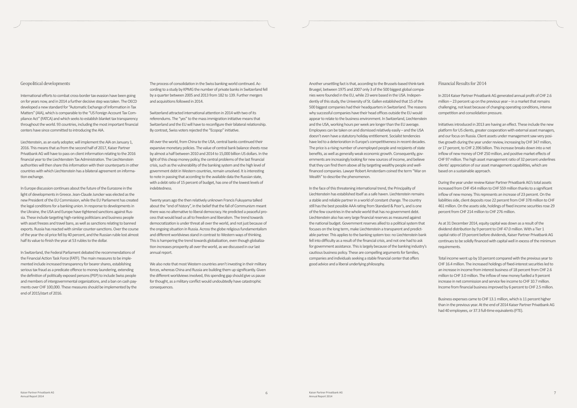#### Geopolitical developments

International efforts to combat cross-border tax evasion have been going on for years now, and in 2014 a further decisive step was taken. The OECD developed a new standard for "Automatic Exchange of Information in Tax Matters" (AIA), which is comparable to the "US Foreign Account Tax Compliance Act" (FATCA) and which seeks to establish blanket tax transparency throughout the world. 93 countries, including the most important financial centers have since committed to introducing the AIA.

Liechtenstein, as an early adopter, will implement the AIA on January 1, 2016. This means that as from the second half of 2017, Kaiser Partner Privatbank AG will have to pass on client information relating to the 2016 financial year to the Liechtenstein Tax Administration. The Liechtenstein authorities will then share this information with their counterparts in other countries with which Liechtenstein has a bilateral agreement on information exchange.

In Europe discussion continues about the future of the Eurozone in the light of developments in Greece. Jean-Claude Juncker was elected as the new President of the EU Commission, while the EU Parliament has created the legal conditions for a banking union. In response to developments in the Ukraine, the USA and Europe have tightened sanctions against Russia. These include targeting high-ranking politicians and business people with asset freezes and travel bans, as well as sanctions relating to banned exports. Russia has reacted with similar counter-sanctions. Over the course of the year the oil price fell by 40 percent, and the Russian ruble lost almost half its value to finish the year at 53 rubles to the dollar.

In Switzerland, the Federal Parliament debated the recommendations of the Financial Action Task Force (FATF). The main measures to be implemented include increased transparency for bearer shares, establishing serious tax fraud as a predicate offence to money laundering, extending the definition of politically exposed persons (PEP) to include Swiss people and members of intergovernmental organizations, and a ban on cash payments over CHF 100,000. These measures should be implemented by the end of 2015/start of 2016.

Another unsettling fact is that, according to the Brussels-based think-tank Bruegel, between 1975 and 2007 only 3 of the 500 biggest global companies were founded in the EU, while 23 were based in the USA. Independently of this study, the University of St. Gallen established that 15 of the 500 biggest companies had their headquarters in Switzerland. The reasons why successful companies have their head offices outside the EU would appear to relate to the business environment. In Switzerland, Liechtenstein and the USA, working hours per week are longer than the EU average. Employees can be taken on and dismissed relatively easily – and the USA doesn't even have a statutory holiday entitlement. Socialist tendencies have led to a deterioration in Europe's competitiveness in recent decades. The price is a rising number of unemployed people and recipients of state benefits, as well as generally weak economic growth. Consequently, governments are increasingly looking for new sources of income, and believe that they can find them above all by targeting wealthy people and wellfinanced companies. Lawyer Robert Amsterdam coined the term "War on Wealth" to describe the phenomenon.

In the face of this threatening international trend, the Principality of Liechtenstein has established itself as a safe haven. Liechtenstein remains a stable and reliable partner in a world of constant change. The country still has the best possible AAA rating from Standard & Poor's, and is one of the few countries in the whole world that has no government debt. Liechtenstein also has very large financial reserves as measured against the national budget. Government reserves allied to a political system that focuses on the long term, make Liechtenstein a transparent and predictable partner. This applies to the banking system too: no Liechtenstein bank fell into difficulty as a result of the financial crisis, and not one had to ask for government assistance. This is largely because of the banking industry's cautious business policy. These are compelling arguments for families, companies and individuals seeking a stable financial center that offers good advice and a liberal underlying philosophy.

We also note that most Western countries aren't investing in their military forces, whereas China and Russia are building them up significantly. Given the different worldviews involved, this spending gap should give us pause for thought, as a military conflict would undoubtedly have catastrophic consequences.

#### Financial Results for 2014

In 2014 Kaiser Partner Privatbank AG generated annual profit of CHF 2.6 million – 23 percent up on the previous year – in a market that remains challenging, not least because of changing operating conditions, intense competition and consolidation pressure.

Initiatives introduced in 2013 are having an effect. These include the new platform for US clients, greater cooperation with external asset managers, and our focus on Russia. Client assets under management saw very positive growth during the year under review, increasing by CHF 347 million, or 17 percent, to CHF 2.396 billion. This increase breaks down into a net inflow of new money of CHF 250 million, and positive market effects of CHF 97 million. The high asset management ratio of 32 percent underlines clients' appreciation of our asset management capabilities, which are based on a sustainable approach.

During the year under review Kaiser Partner Privatbank AG's total assets increased from CHF 454 million to CHF 559 million thanks to a significant inflow of new money. This represents an increase of 23 percent. On the liabilities side, client deposits rose 22 percent from CHF 378 million to CHF 461 million. On the assets side, holdings of fixed income securities rose 29 percent from CHF 214 million to CHF 276 million.

As at 31 December 2014, equity capital was down as a result of the dividend distribution by 9 percent to CHF 47.0 million. With a Tier 1 capital ratio of 19 percent before dividends, Kaiser Partner Privatbank AG continues to be solidly financed with capital well in excess of the minimum requirements.

Total income went up by 10 percent compared with the previous year to CHF 16.4 million. The increased holdings of fixed-interest securities led to an increase in income from interest business of 18 percent from CHF 2.6 million to CHF 3.0 million. The inflow of new money fuelled a 9 percent increase in net commission and service fee income to CHF 10.7 million. Income from financial business improved by 6 percent to CHF 2.5 million.

Business expenses came to CHF 13.1 million, which is 11 percent higher than in the previous year. At the end of 2014 Kaiser Partner Privatbank AG had 40 employees, or 37.3 full-time equivalents (FTE).

The process of consolidation in the Swiss banking world continued. According to a study by KPMG the number of private banks in Switzerland fell by a quarter between 2005 and 2013 from 182 to 139. Further mergers and acquisitions followed in 2014.

Switzerland attracted international attention in 2014 with two of its referendums. The "yes" to the mass immigration initiative means that Switzerland and the EU will have to reconfigure their bilateral relationship. By contrast, Swiss voters rejected the "Ecopop" initiative.

All over the world, from China to the USA, central banks continued their expansive monetary policies. The value of central bank balance sheets rose by almost a half between 2010 and 2014 to 15,000 billion US dollars. In the light of this cheap money policy, the central problems of the last financial crisis, such as the vulnerability of the banking system and the high level of government debt in Western countries, remain unsolved. It is interesting to note in passing that according to the available data the Russian state, with a debt ratio of 15 percent of budget, has one of the lowest levels of indebtedness.

Twenty years ago the then relatively unknown Francis Fukuyama talked about the "end of history", in the belief that the fall of Communism meant there was no alternative to liberal democracy. He predicted a peaceful process that would lead us all to freedom and liberalism. The trend towards democratization is under threat all over the world, and not just because of the ongoing situation in Russia. Across the globe religious fundamentalism and different worldviews stand in contrast to Western ways of thinking. This is hampering the trend towards globalization, even though globalization increases prosperity all over the world, as we discussed in our last annual report.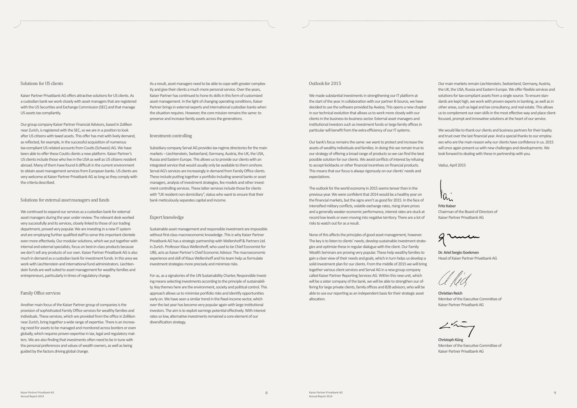Our main markets remain Liechtenstein, Switzerland, Germany, Austria, the UK, the USA, Russia and Eastern Europe. We offer flexible services and solutions for tax-compliant assets from a single source. To ensure standards are kept high, we work with proven experts in banking, as well as in other areas, such as legal and tax consultancy, and real estate. This allows us to complement our own skills in the most effective way and place clientfocused, prompt and innovative solutions at the heart of our service.

We would like to thank our clients and business partners for their loyalty and trust over the last financial year. And a special thanks to our employees who are the main reason why our clients have confidence in us. 2015 will once again present us with new challenges and developments. We look forward to dealing with these in partnership with you.

Vaduz, April 2015

 $a_n$ 

**Fritz Kaiser** Chairman of the Board of Directors of Kaiser Partner Privatbank AG

**Dr. Ariel Sergio Goekmen** Head of Kaiser Partner Privatbank AG

**Christian Reich** Member of the Executive Committee of Kaiser Partner Privatbank AG

**Christoph Küng** Member of the Executive Committee of Kaiser Partner Privatbank AG

As a result, asset managers need to be able to cope with greater complexity and give their clients a much more personal service. Over the years, Kaiser Partner has continued to hone its skills in this form of customized asset management. In the light of changing operating conditions, Kaiser Partner brings in external experts and international custodian banks when the situation requires. However, the core mission remains the same: to preserve and increase family assets across the generations.

#### Investment controlling

Subsidiary company Serval AG provides tax regime directories for the main markets – Liechtenstein, Switzerland, Germany, Austria, the UK, the USA, Russia and Eastern Europe. This allows us to provide our clients with an integrated service that would usually only be available to them onshore. Serval AG's services are increasingly in demand from Family Office clients. These include putting together a portfolio including several banks or asset managers, analysis of investment strategies, fee models and other investment controlling services. These latter services include those for clients with "UK resident non domiciliary", status who want to ensure that their bank meticulously separates capital and income.

#### Expert knowledge

Sustainable asset management and responsible investment are impossible without first-class macroeconomic knowledge. This is why Kaiser Partner Privatbank AG has a strategic partnership with Wellershoff & Partners Ltd. in Zurich. Professor Klaus Wellershoff, who used to be Chief Economist for UBS, acts as Kaiser Partner's Chief Economic Advisor. The macroeconomic experience and skill of Klaus Wellershoff and his team help us formulate investment strategies more precisely and minimize risks.

For us, as a signatories of the UN Sustainability Charter, Responsible Investing means selecting investments according to the principle of sustainability. Key themes here are the environment, society and political control. This approach allows us to minimize portfolio risks and identify opportunities early on. We have seen a similar trend in the fixed-income sector, which over the last year has become very popular again with large institutional investors. The aim is to exploit earnings potential effectively. With interest rates so low, alternative investments remained a core element of our diversification strategy.

#### Outlook for 2015

We made substantial investments in strengthening our IT platform at the start of the year. In collaboration with our partner B-Source, we have decided to use the software provided by Avaloq. This opens a new chapter in our technical evolution that allows us to work more closely with our clients in the business-to-business sector. External asset managers and institutional investors such as investment funds or large family offices in particular will benefit from the extra efficiency of our IT systems.

Our bank's focus remains the same: we want to protect and increase the assets of wealthy individuals and families. In doing this we remain true to our strategy of offering a broad range of products so we can find the best possible solution for our clients. We avoid conflicts of interest by refusing to accept kickbacks or other financial incentives on financial products. This means that our focus is always rigorously on our clients' needs and expectations.

The outlook for the world economy in 2015 seems tenser than in the previous year. We were confident that 2014 would be a healthy year on the financial markets, but the signs aren't as good for 2015. In the face of intensified military conflicts, volatile exchange rates, rising share prices and a generally weaker economic performance, interest rates are stuck at record low levels or even moving into negative territory. There are a lot of risks to watch out for as a result.

None of this affects the principles of good asset management, however. The key is to listen to clients' needs, develop sustainable investment strategies and optimize these in regular dialogue with the client. Our Family Wealth Seminars are proving very popular. These help wealthy families to gain a clear view of their needs and goals, which in turn helps us develop a solid investment plan for our clients. From the middle of 2015 we will bring together various client services and Serval AG in a new group company called Kaiser Partner Reporting Services AG. Within this new unit, which will be a sister company of the bank, we will be able to strengthen our offering for large private clients, family offices and B2B advisors, who will be able to use our reporting as an independent basis for their strategic asset allocation.

#### Solutions for US clients

Kaiser Partner Privatbank AG offers attractive solutions for US clients. As a custodian bank we work closely with asset managers that are registered with the US Securities and Exchange Commission (SEC) and that manage US assets tax compliantly.

Our group company Kaiser Partner Financial Advisors, based in Zollikon near Zurich, is registered with the SEC, so we are in a position to look after US citizens with taxed assets. This offer has met with lively demand, as reflected, for example, in the successful acquisition of numerous tax-compliant US-related accounts from Coutts (Schweiz) AG. We have been able to offer these Coutts clients a new platform. Kaiser Partner's US clients include those who live in the USA as well as US citizens resident abroad. Many of them have found it difficult in the current environment to obtain asset management services from European banks. US clients are very welcome at Kaiser Partner Privatbank AG as long as they comply with the criteria described.

#### Solutions for external asset managers and funds

We continued to expand our services as a custodian bank for external asset managers during the year under review. The relevant desk worked very successfully and its services, closely linked to those of our trading department, proved very popular. We are investing in a new IT system and are employing further qualified staff to serve this important clientele even more effectively. Our modular solutions, which we put together with internal and external specialists, focus on best-in-class products because we don't sell any products of our own. Kaiser Partner Privatbank AG is also much in demand as a custodian bank for investment funds. In this area we work with Liechtenstein and international fund administrators. Liechtenstein funds are well suited to asset management for wealthy families and entrepreneurs, particularly in times of regulatory change.

#### Family Office services

Another main focus of the Kaiser Partner group of companies is the provision of sophisticated Family Office services for wealthy families and individuals. These services, which are provided from the office in Zollikon near Zurich, bring together a wide range of expertise. There is an increasing need for assets to be managed and monitored across borders or even globally, which requires proven expertise in tax, legal and regulatory matters. We are also finding that investments often need to be in tune with the personal preferences and values of wealth owners, as well as being guided by the factors driving global change.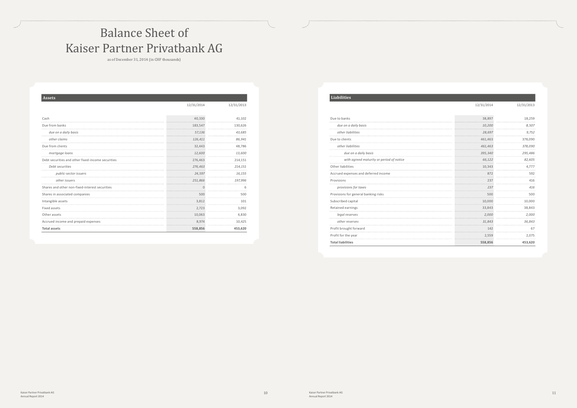## Balance Sheet of Kaiser Partner Privatbank AG

as of December 31, 2014 (in CHF thousands)

| <b>Assets</b>                                     |            |            |
|---------------------------------------------------|------------|------------|
|                                                   | 12/31/2014 | 12/31/2013 |
|                                                   |            |            |
| Cash                                              | 40.330     | 41,102     |
| Due from banks                                    | 183,547    | 130,626    |
| due on a daily basis                              | 57,136     | 43,685     |
| other claims                                      | 126,411    | 86,941     |
| Due from clients                                  | 32,443     | 48,786     |
| mortgage loans                                    | 12,600     | 13,600     |
| Debt securities and other fixed-income securities | 276,463    | 214,151    |
| Debt securities                                   | 276,463    | 214,151    |
| public-sector issuers                             | 24,597     | 16,155     |
| other issuers                                     | 251,866    | 197,996    |
| Shares and other non-fixed-interest securities    | $\Omega$   |            |
| Shares in associated companies                    | 500        | 500        |
| Intangible assets                                 | 3,812      | 101        |
| Fixed assets                                      | 2,723      | 3,092      |
| Other assets                                      | 10,063     | 4,830      |
| Accrued income and prepaid expenses               | 8,974      | 10,425     |
| <b>Total assets</b>                               | 558,856    | 453,620    |

### **Liabilities**

#### 12/31/2014 12/31/2013

| due on a daily basis<br>other liabilities<br>Due to clients<br>other liabilities<br>due on a daily basis<br>with agreed maturity or period of notice<br>Other liabilities<br>Accrued expenses and deferred income | 10,200<br>28,697 | 8,507   |
|-------------------------------------------------------------------------------------------------------------------------------------------------------------------------------------------------------------------|------------------|---------|
|                                                                                                                                                                                                                   |                  | 9,752   |
|                                                                                                                                                                                                                   |                  |         |
|                                                                                                                                                                                                                   | 461,463          | 378,090 |
|                                                                                                                                                                                                                   | 461,463          | 378,090 |
|                                                                                                                                                                                                                   | 395,340          | 295,486 |
|                                                                                                                                                                                                                   | 66,122           | 82,605  |
|                                                                                                                                                                                                                   | 10.343           | 4.777   |
|                                                                                                                                                                                                                   | 872              | 592     |
| Provisions                                                                                                                                                                                                        | 237              | 416     |
| provisions for taxes                                                                                                                                                                                              | 237              | 416     |
| Provisions for general banking risks                                                                                                                                                                              | 500              | 500     |
| Subscribed capital                                                                                                                                                                                                | 10,000           | 10,000  |
| Retained earnings                                                                                                                                                                                                 | 33,843           | 38,843  |
| legal reserves                                                                                                                                                                                                    | 2.000            | 2,000   |
| other reserves                                                                                                                                                                                                    | 31.843           | 36,843  |
| Profit brought forward                                                                                                                                                                                            | 142              | 67      |
| Profit for the year                                                                                                                                                                                               | 2,559            | 2,075   |
| <b>Total liabilities</b><br>558,856                                                                                                                                                                               |                  |         |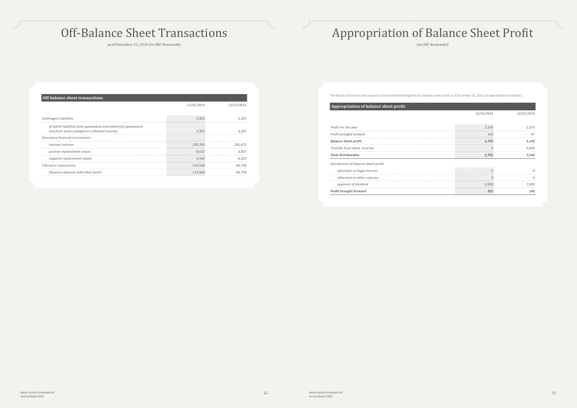## Off-Balance Sheet Transactions

as of December 31, 2014 (in CHF thousands)

| <b>Off-balance sheet transactions</b>                                                                           |            |            |  |  |  |
|-----------------------------------------------------------------------------------------------------------------|------------|------------|--|--|--|
|                                                                                                                 | 12/31/2014 | 12/31/2013 |  |  |  |
| Contingent liabilities                                                                                          | 3.352      |            |  |  |  |
| of which liabilities from quarantees and indemnity agreements<br>and from assets pledged as collateral security | 3.352      |            |  |  |  |
| Derivative financial instruments                                                                                |            |            |  |  |  |
| contract volume                                                                                                 | 293.705    | 291.672    |  |  |  |
| positive replacement values                                                                                     | 8.615      | 3.827      |  |  |  |
| negative replacement values                                                                                     | 9.592      | 4.253      |  |  |  |
| Fiduciary transactions                                                                                          | 119,568    | 68.758     |  |  |  |
| fiduciary deposits with other banks                                                                             | 119,568    | 68.758     |  |  |  |

# Appropriation of Balance Sheet Profit

(in CHF thousands)

The Board of Directors will propose to the General Meeting that the balance sheet profit as of December 31, 2014, be appropriated as follows:

| Appropriation of balance sheet profit |            |            |
|---------------------------------------|------------|------------|
|                                       | 12/31/2014 | 12/31/2013 |
|                                       |            |            |
| Profit for the year                   | 2,559      | 2.075      |
| Profit brought forward                | 142        | 67         |
| <b>Balance sheet profit</b>           | 2,701      | 2,142      |
| Transfer from other reserves          |            | 5,000      |
| Total distributable                   | 2,701      | 7,142      |
| Distribution of balance sheet profit  |            |            |
| allocation to legal reserves          |            |            |
| allocation to other reserves          |            |            |
| payment of dividend                   | 2,500      | 7.000      |
| Profit brought forward                | 201        | 142        |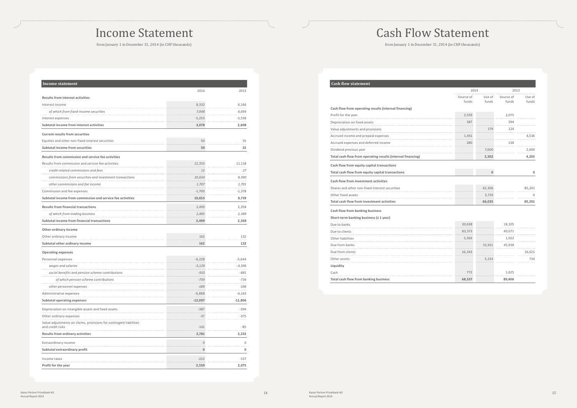### Income Statement

from January 1 to December 31, 2014 (in CHF thousands)

| Income statement                                                   |              |           |
|--------------------------------------------------------------------|--------------|-----------|
|                                                                    | 2014         | 2013      |
| <b>Results from interest activities</b>                            |              |           |
| Interest income                                                    | 8,332        | 6,146     |
| of which from fixed-income securities                              | 7,048        | 4,694     |
| Interest expenses                                                  | -5,253       | -3,538    |
| Subtotal income from interest activities                           | 3,078        | 2,608     |
| <b>Current results from securities</b>                             |              |           |
| Equities and other non-fixed-interest securities                   | 50           | 55        |
| Subtotal income from securities                                    | 50           | 55        |
| Results from commission and service fee activities                 |              |           |
| Results from commission and service fee activities                 | 12,353       | 11,118    |
| credit-related commissions and fees                                | .<br>12      | 27        |
| commissions from securities and investment transactions            | 10,634       | 9,390     |
| other commissions and fee income                                   | .<br>1.707   | 1,701     |
| Commission and fee expenses                                        | -1,700       | -1,378    |
| Subtotal income from commission and service fee activities         | 10,653       | 9,739     |
| <b>Results from financial transactions</b>                         | 2.499        | 2,358     |
| of which from trading business                                     | 2,495        | 2,389     |
| Subtotal income from financial transactions                        | 2,499        | 2,358     |
| Other ordinary income                                              |              |           |
| Other ordinary income                                              | 162          | 132       |
| Subtotal other ordinary income                                     | 162          | 132       |
| <b>Operating expenses</b>                                          |              |           |
| Personnel expenses                                                 | $-6,228$     | $-5,644$  |
| wages and salaries                                                 | -5,129       | $-4,596$  |
| social benefits and pension scheme contributions                   | .<br>$-910$  | $-881$    |
| of which pension scheme contributions                              | -759         | -734      |
| other personnel expenses                                           | -189         | -166      |
| Administrative expenses                                            | -6,868       | $-6,163$  |
| <b>Subtotal operating expenses</b>                                 | $-13,097$    | $-11,806$ |
| Depreciation on intangible assets and fixed assets                 | $-387$       | $-394$    |
| Other ordinary expenses                                            | $-37$        | $-375$    |
| Value adjustments on claims, provisions for contingent liabilities |              |           |
| and credit risks                                                   | $-141$       | -85       |
| Results from ordinary activities                                   | 2,781        | 2,232     |
| Extraordinary income                                               | $\mathbf{0}$ | 0         |
| Subtotal extraordinary profit                                      | 0            | 0         |
| Income taxes                                                       | $-222$       | $-157$    |
| Profit for the year                                                | 2,559        | 2,075     |

# Cash Flow Statement

from January 1 to December 31, 2014 (in CHF thousands)

| <b>Cash flow statement</b>                                  |                    |                 |                    |                 |
|-------------------------------------------------------------|--------------------|-----------------|--------------------|-----------------|
|                                                             |                    | 2014            |                    | 2013            |
|                                                             | Source of<br>funds | Use of<br>funds | Source of<br>funds | Use of<br>funds |
| Cash flow from operating results (internal financing)       |                    |                 |                    |                 |
| Profit for the year                                         | 2,559              |                 | 2,075              |                 |
| Depreciation on fixed assets                                | 387                |                 | 394                |                 |
| Value adjustments and provisions                            |                    | 179             | 124                |                 |
| Accrued income and prepaid expenses                         | 1,451<br>.         |                 | .                  | 4,536<br>.      |
| Accrued expenses and deferred income                        | 280<br>.           |                 | 138<br>.           |                 |
| Dividend previous year                                      |                    | 7,000<br>.      |                    | 2,400           |
| Total cash flow from operating results (internal financing) |                    | 2,502           |                    | 4,205           |
| Cash flow from equity capital transactions                  |                    |                 |                    |                 |
| Total cash flow from equity capital transactions            |                    | 0               |                    | 0               |
| Cash flow from investment activities                        |                    |                 |                    |                 |
| Shares and other non-fixed-interest securities              |                    | 62,306          |                    | 85,201          |
| Other fixed assets                                          |                    | 3,729           |                    | $\Omega$<br>.   |
| <b>Total cash flow from investment activities</b>           |                    | 66,035          |                    | 85,201          |
| Cash flow from banking business                             |                    |                 |                    |                 |
| Short-term banking business ( $\leq 1$ year)                |                    |                 |                    |                 |
| Due to banks                                                | 20,638             |                 | 18,105             |                 |
| Due to clients                                              | 83,373             |                 | 40,071             |                 |
| Other liabilities                                           | 5,566              |                 | 1,022              |                 |
| Due from banks                                              | .                  | 52,921          | 45,938             |                 |
| Due from clients                                            | 16,343             |                 |                    | 16,621          |
| Other assets                                                |                    | 5,233           |                    | 734             |
| Liquidity                                                   |                    |                 |                    |                 |
| Cash                                                        | 772                |                 | 1,625              |                 |
| Total cash flow from banking business                       | 68,537             |                 | 89,406             |                 |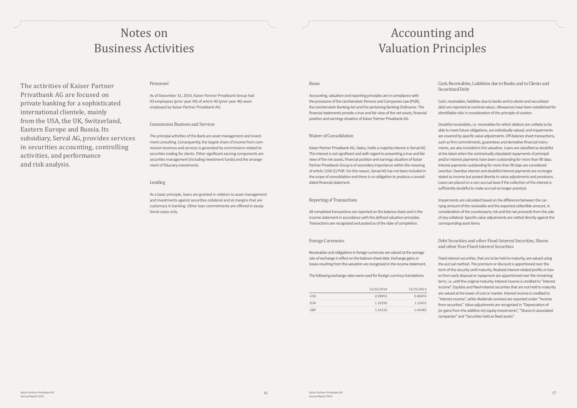# Accounting and Valuation Principles

#### Bases

Accounting, valuation and reporting principles are in compliance with the provisions of the Liechtenstein Persons and Companies Law (PGR), the Liechtenstein Banking Act and the pertaining Banking Ordinance. The financial statements provide a true and fair view of the net assets, financial position and earnings situation of Kaiser Partner Privatbank AG.

#### Waiver of Consolidation

Kaiser Partner Privatbank AG, Vaduz, holds a majority interest in Serval AG. This interest is not significant and with regard to presenting a true and fair view of the net assets, financial position and earnings situation of Kaiser Partner Privatbank Group is of secondary importance within the meaning of article 1104 (1) PGR. For this reason, Serval AG has not been included in the scope of consolidation and there is no obligation to produce a consolidated financial statement.

#### Reporting of Transactions

All completed transactions are reported on the balance sheet and in the income statement in accordance with the defined valuation principles. Transactions are recognized and posted as of the date of completion.

#### Foreign Currencies

Receivables and obligations in foreign currencies are valued at the average rate of exchange in effect on the balance sheet date. Exchange gains or losses resulting from the valuation are recognized in the income statement.

The following exchange rates were used for foreign currency translations:

|            | 12/31/2014 | 12/31/2013 |
|------------|------------|------------|
| <b>USD</b> | 0.98955    | 0.88655    |
| <b>EUR</b> | 1.20290    | 1.22455    |
| GRP        | 1.54120    | 1.46485    |

Cash, Receivables, Liabilities due to Banks and to Clients and Securitized Debt

Cash, receivables, liabilities due to banks and to clients and securitized debt are reported at nominal values. Allowances have been established for identifiable risks in consideration of the principle of caution.

Doubtful receivables, i.e. receivables for which debtors are unlikely to be able to meet future obligations, are individually valued, and impairments are covered by specific value adjustments. Off-balance sheet transactions, such as firm commitments, guarantees and derivative financial instruments, are also included in this valuation. Loans are classified as doubtful at the latest when the contractually stipulated repayments of principal and/or interest payments have been outstanding for more than 90 days. Interest payments outstanding for more than 90 days are considered overdue. Overdue interest and doubtful interest payments are no longer stated as income but posted directly to value adjustments and provisions. Loans are placed on a non-accrual basis if the collection of the interest is sufficiently doubtful to make accrual no longer practical.

Impairments are calculated based on the difference between the carrying amount of the receivable and the expected collectible amount, in consideration of the counterparty risk and the net proceeds from the sale of any collateral. Specific value adjustments are netted directly against the corresponding asset items.

Debt Securities and other Fixed-Interest Securities, Shares and other Non-Fixed-Interest Securities

Fixed-interest securities, that are to be held to maturity, are valued using the accrual method. The premium or discount is apportioned over the term of the security until maturity. Realized interest-related profits or losses from early disposal or repayment are apportioned over the remaining term, i.e. until the original maturity. Interest income is credited to "Interest income". Equities and fixed-interest securities that are not held to maturity are valued at the lower of cost or market. Interest income is credited to "Interest income", while dividends received are reported under "Income from securities". Value adjustments are recognized in "Depreciation of (or gains from the addition to) equity investments", "Shares in associated companies" and "Securities held as fixed assets".

### Notes on Business Activities

### Personnel

As of December 31, 2014, Kaiser Partner Privatbank Group had 43 employees (prior year 49) of which 40 (prior year 46) were employed by Kaiser Partner Privatbank AG.

#### Commission Business and Services

The principal activities of the Bank are asset management and investment consulting. Consequently, the largest share of income from commission business and services is generated by commissions related to securities trading for clients. Other significant earning components are securities management (including investment funds) and the arrangement of fiduciary investments.

#### Lending

As a basic principle, loans are granted in relation to asset management and investments against securities collateral and at margins that are customary in banking. Other loan commitments are offered in exceptional cases only.

The activities of Kaiser Partner Privatbank AG are focused on private banking for a sophisticated international clientele, mainly from the USA, the UK, Switzerland, Eastern Europe and Russia. Its subsidiary, Serval AG, provides services in securities accounting, controlling activities, and performance and risk analysis.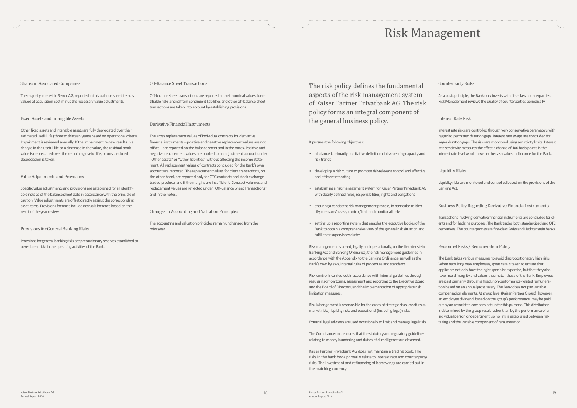#### Shares in Associated Companies

The majority interest in Serval AG, reported in this balance sheet item, is valued at acquisition cost minus the necessary value adjustments.

#### Fixed Assets and Intangible Assets

Other fixed assets and intangible assets are fully depreciated over their estimated useful life (three to thirteen years) based on operational criteria. Impairment is reviewed annually. If the impairment review results in a change in the useful life or a decrease in the value, the residual book value is depreciated over the remaining useful life, or unscheduled depreciation is taken.

#### Value Adjustments and Provisions

Specific value adjustments and provisions are established for all identifiable risks as of the balance sheet date in accordance with the principle of caution. Value adjustments are offset directly against the corresponding asset items. Provisions for taxes include accruals for taxes based on the result of the year review.

#### Provisions for General Banking Risks

Provisions for general banking risks are precautionary reserves established to cover latent risks in the operating activities of the Bank.

#### Off-Balance Sheet Transactions

Off-balance sheet transactions are reported at their nominal values. Identifiable risks arising from contingent liabilities and other off-balance sheet transactions are taken into account by establishing provisions.

#### Derivative Financial Instruments

The gross replacement values of individual contracts for derivative financial instruments – positive and negative replacement values are not offset – are reported on the balance sheet and in the notes. Positive and negative replacement values are booked to an adjustment account under "Other assets" or "Other liabilities" without affecting the income statement. All replacement values of contracts concluded for the Bank's own account are reported. The replacement values for client transactions, on the other hand, are reported only for OTC contracts and stock exchangetraded products and if the margins are insufficient. Contract volumes and replacement values are reflected under "Off-Balance Sheet Transactions" and in the notes.

#### Changes in Accounting and Valuation Principles

The accounting and valuation principles remain unchanged from the prior year.

# Risk Management

#### It pursues the following objectives:

- a balanced, primarily qualitative definition of risk-bearing capacity and risk trends
- developing a risk culture to promote risk-relevant control and effective and efficient reporting
- establishing a risk management system for Kaiser Partner Privatbank AG with clearly defined roles, responsibilities, rights and obligations
- ensuring a consistent risk management process, in particular to identify, measure/assess, control/limit and monitor all risks
- setting up a reporting system that enables the executive bodies of the Bank to obtain a comprehensive view of the general risk situation and fulfill their supervisory duties

Risk management is based, legally and operationally, on the Liechtenstein Banking Act and Banking Ordinance, the risk management guidelines in accordance with the Appendix to the Banking Ordinance, as well as the Bank's own bylaws, internal rules of procedure and standards.

Risk control is carried out in accordance with internal guidelines through regular risk monitoring, assessment and reporting to the Executive Board and the Board of Directors, and the implementation of appropriate risk limitation measures.

Risk Management is responsible for the areas of strategic risks, credit risks, market risks, liquidity risks and operational (including legal) risks.

External legal advisors are used occasionally to limit and manage legal risks.

The Compliance unit ensures that the statutory and regulatory guidelines relating to money laundering and duties of due diligence are observed.

Kaiser Partner Privatbank AG does not maintain a trading book. The risks in the bank book primarily relate to interest rate and counterparty risks. The investment and refinancing of borrowings are carried out in the matching currency.

#### Counterparty Risks

As a basic principle, the Bank only invests with first-class counterparties. Risk Management reviews the quality of counterparties periodically.

#### Interest Rate Risk

Interest rate risks are controlled through very conservative parameters with regard to permitted duration gaps. Interest rate swaps are concluded for larger duration gaps. The risks are monitored using sensitivity limits. Interest rate sensitivity measures the effect a change of 100 basis points in the interest rate level would have on the cash value and income for the Bank.

### Liquidity Risks

Liquidity risks are monitored and controlled based on the provisions of the Banking Act.

### Business Policy Regarding Derivative Financial Instruments

Transactions involving derivative financial instruments are concluded for clients and for hedging purposes. The Bank trades both standardized and OTC derivatives. The counterparties are first-class Swiss and Liechtenstein banks.

### Personnel Risks / Remuneration Policy

The Bank takes various measures to avoid disproportionately high risks. When recruiting new employees, great care is taken to ensure that applicants not only have the right specialist expertise, but that they also have moral integrity and values that match those of the Bank. Employees are paid primarily through a fixed, non-performance-related remuneration based on an annual gross salary. The Bank does not pay variable compensation elements. At group level (Kaiser Partner Group), however, an employee dividend, based on the group's performance, may be paid out by an associated company set up for this purpose. This distribution is determined by the group result rather than by the performance of an individual person or department, so no link is established between risk taking and the variable component of remuneration.

The risk policy defines the fundamental aspects of the risk management system of Kaiser Partner Privatbank AG. The risk policy forms an integral component of the general business policy.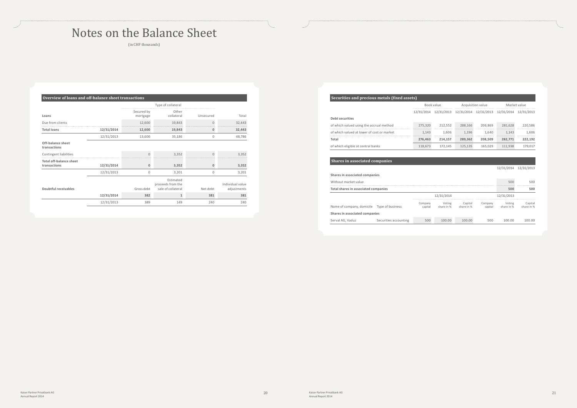## Notes on the Balance Sheet

(in CHF thousands)

| Overview of loans and off-balance sheet transactions |            |                        |                                                      |              |                                 |
|------------------------------------------------------|------------|------------------------|------------------------------------------------------|--------------|---------------------------------|
|                                                      |            |                        | Type of collateral                                   |              |                                 |
| Loans                                                |            | Secured by<br>mortgage | Other<br>collateral                                  | Unsecured    | Total                           |
| Due from clients                                     |            | 12,600                 | 19,843                                               | $\Omega$     | 32,443                          |
| <b>Total loans</b>                                   | 12/31/2014 | 12,600                 | 19,843                                               | Ω            | 32,443                          |
|                                                      | 12/31/2013 | 13,600                 | 35,186                                               | 0            | 48,786                          |
| Off-balance sheet<br>transactions                    |            |                        |                                                      |              |                                 |
| Contingent liabilities                               |            | $\Omega$               | 3.352                                                | $\cap$       | 3,352                           |
| <b>Total off-balance sheet</b><br>transactions       | 12/31/2014 | $\Omega$               | 3,352                                                | $\mathbf{0}$ | 3,352                           |
|                                                      | 12/31/2013 | $\Omega$               | 3,201                                                | $\mathbf{0}$ | 3,201                           |
| Doubtful receivables                                 |            | Gross debt             | Estimated<br>proceeds from the<br>sale of collateral | Net debt     | Individual value<br>adjustments |
|                                                      | 12/31/2014 | 382                    | 1                                                    | 381          | 381                             |
|                                                      | 12/31/2013 | 389                    | 149                                                  | 240          | 240                             |

| Securities and precious metals (fixed assets) |  |
|-----------------------------------------------|--|
|                                               |  |

| becurrites and precious metals (fixed assets) |         |                   |         |              |                                                        |  |
|-----------------------------------------------|---------|-------------------|---------|--------------|--------------------------------------------------------|--|
| Book value                                    |         | Acquisition value |         | Market value |                                                        |  |
|                                               |         |                   |         |              | 12/31/2013                                             |  |
|                                               |         |                   |         |              |                                                        |  |
| 275,320                                       | 212.552 | 288.166           | 206.869 | 281.628      | 220.586                                                |  |
| 1.143                                         | 1.606   | 1.196             | 1.640   | 1.143        | 1.606                                                  |  |
| 276,463                                       | 214.157 | 289.362           | 208.509 | 282.771      | 222,192                                                |  |
| 118,673                                       | 172.145 | 125,135           | 165.029 | 111.938      | 179,017                                                |  |
|                                               |         |                   |         |              | 12/31/2014 12/31/2013 12/31/2014 12/31/2013 12/31/2014 |  |

### **Shares in associated companies**

|                                            |                       |                    |                      |                       |                    | 12/31/2014           | 12/31/2013            |
|--------------------------------------------|-----------------------|--------------------|----------------------|-----------------------|--------------------|----------------------|-----------------------|
| Shares in associated companies             |                       |                    |                      |                       |                    |                      |                       |
| Without market value                       |                       |                    |                      |                       |                    | 500                  | 500                   |
| Total shares in associated companies       |                       |                    |                      |                       |                    | 500                  | 500                   |
|                                            |                       |                    | 12/31/2014           |                       |                    | 12/31/2013           |                       |
| Name of company, domicile Type of business |                       | Company<br>capital | Voting<br>share in % | Capital<br>share in % | Company<br>capital | Voting<br>share in % | Capital<br>share in % |
| Shares in associated companies             |                       |                    |                      |                       |                    |                      |                       |
| Serval AG. Vaduz                           | Securities accounting | 500                | 100.00               | 100.00                | 500                | 100.00               | 100.00                |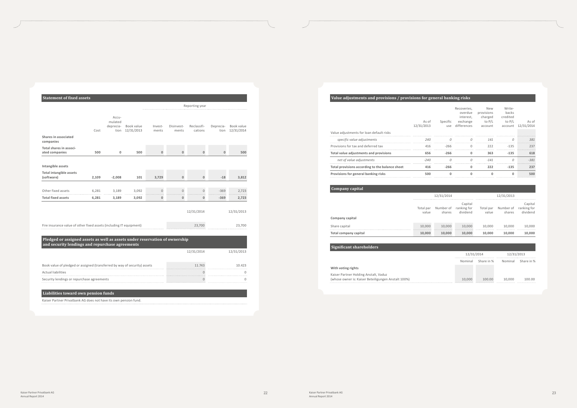| <b>Statement of fixed assets</b>                                                                                               |       |                                       |                          |                  |                     |                        |                   |                          |
|--------------------------------------------------------------------------------------------------------------------------------|-------|---------------------------------------|--------------------------|------------------|---------------------|------------------------|-------------------|--------------------------|
|                                                                                                                                |       |                                       |                          |                  |                     | Reporting year         |                   |                          |
| Shares in associated<br>companies                                                                                              | Cost  | Accu-<br>mulated<br>deprecia-<br>tion | Book value<br>12/31/2013 | Invest-<br>ments | Disinvest-<br>ments | Reclassifi-<br>cations | Deprecia-<br>tion | Book value<br>12/31/2014 |
| Total shares in associ-                                                                                                        |       |                                       | 500                      | $\mathbf{0}$     | $\Omega$            | $\mathbf{0}$           | $\mathbf{0}$      |                          |
| ated companies                                                                                                                 | 500   | $\mathbf 0$                           |                          |                  |                     |                        |                   | 500                      |
| Intangible assets                                                                                                              |       |                                       |                          |                  |                     |                        |                   |                          |
| <b>Total intangible assets</b><br>(software)                                                                                   | 2,109 | $-2,008$                              | 101                      | 3,729            | $\Omega$            | $\mathbf{0}$           | $-18$             | 3,812                    |
| Other fixed assets                                                                                                             | 6,281 | 3,189                                 | 3,092                    | $\overline{0}$   | $\overline{0}$      | $\mathbf{0}$           | $-369$            | 2,723                    |
| <b>Total fixed assets</b>                                                                                                      | 6,281 | 3,189                                 | 3,092                    | $\Omega$         | $\mathbf{0}$        | 0                      | $-369$            | 2,723                    |
|                                                                                                                                |       |                                       |                          |                  |                     | 12/31/2014             |                   | 12/31/2013               |
| Fire insurance value of other fixed assets (including IT equipment)                                                            |       |                                       |                          |                  |                     | 23,700                 |                   | 23,700                   |
| Pledged or assigned assets as well as assets under reservation of ownership<br>and security lendings and repurchase agreements |       |                                       |                          |                  |                     |                        |                   |                          |
|                                                                                                                                |       |                                       |                          |                  |                     | 12/31/2014             |                   | 12/31/2013               |
| Book value of pledged or assigned (transferred by way of security) assets                                                      |       |                                       |                          |                  |                     | 11.743                 |                   | 10.423                   |
| <b>Actual liabilities</b>                                                                                                      |       |                                       |                          |                  |                     | $\cap$                 |                   | O                        |
| Security lendings or repurchase agreements                                                                                     |       |                                       |                          |                  |                     | $\mathbf 0$            |                   | 0                        |

### **Liabilities toward own pension funds**

Kaiser Partner Privatbank AG does not have its own pension fund.

Kaiser Partner Holding Anstalt, Vaduz (whose owner is: Kaiser Beteiligungen Anstalt 100%)

### **Value adjustments and provisions / provisions for general banking risks**

| net of value adjustments<br>Total provisions according to the balance sheet | $-240$<br>416       | $-266$   |                                                                    | $-141$<br>222                                            | $-135$                                           | $-381$<br>237       |
|-----------------------------------------------------------------------------|---------------------|----------|--------------------------------------------------------------------|----------------------------------------------------------|--------------------------------------------------|---------------------|
| Total value adjustments and provisions                                      | 656                 | $-266$   |                                                                    | 363                                                      | $-135$                                           | 618                 |
| Provisions for tax and deferred tax                                         | 416                 | -266     |                                                                    | 222                                                      | $-135$                                           | 237                 |
| specific value adjustments                                                  | 240                 |          |                                                                    | 141                                                      |                                                  | 381                 |
| Value adjustments for loan default risks                                    | As of<br>12/31/2013 | Specific | Recoveries.<br>overdue<br>interest,<br>exchange<br>use differences | <b>New</b><br>provisions<br>charged<br>to P/L<br>account | Write-<br>backs<br>credited<br>to P/L<br>account | As of<br>12/31/2014 |

| Company capital       |                    |                                     |                                     |                    |                     |                                    |
|-----------------------|--------------------|-------------------------------------|-------------------------------------|--------------------|---------------------|------------------------------------|
|                       |                    | 12/31/2014                          |                                     |                    | 12/31/2013          |                                    |
|                       | Total par<br>value | Number of<br>shares                 | Capital<br>ranking for<br>dividend  | Total par<br>value | Number of<br>shares | Capital<br>ranking for<br>dividend |
| Company capital       |                    |                                     |                                     |                    |                     |                                    |
| Share capital         | 10.000             | 10,000<br>************************* | 10.000<br>************************* | 10.000             | 10.000              | 10.000<br>                         |
| Total company capital |                    | 10.000                              | 10.000                              | 10.000             | 10.000              | 10.000                             |

### **Significant shareholders**

 $\ddotsc$ 

| 12/31/2014 |            | 12/31/2013 |            |
|------------|------------|------------|------------|
| Nominal    | Share in % | Nominal    | Share in % |
|            |            |            |            |
|            |            |            |            |
| 10,000     | 100.00     | 10,000     | 100.00     |
|            |            |            |            |

**With voting rights**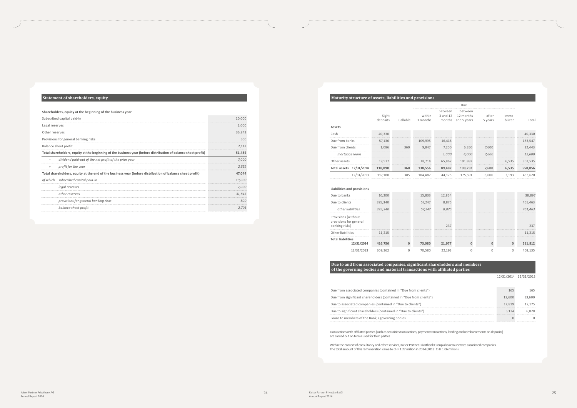### **Statement of shareholders, equity**

#### **Shareholders, equity at the beginning of the business year**

|                | Subscribed capital paid-in                                                                                     | 10.000 |
|----------------|----------------------------------------------------------------------------------------------------------------|--------|
| Legal reserves |                                                                                                                | 2.000  |
| Other reserves |                                                                                                                | 36,843 |
|                | Provisions for general banking risks                                                                           | 500    |
|                | Balance sheet profit                                                                                           | 2,142  |
|                | Total shareholders, equity at the beginning of the business year (before distribution of balance sheet profit) | 51,485 |
|                | dividend paid-out of the net profit of the prior year                                                          | 7.000  |
|                | profit for the year                                                                                            | 2,559  |
|                | Total shareholders, equity at the end of the business year (before distribution of balance sheet profit)       | 47.044 |
|                | of which subscribed capital paid-in                                                                            | 10.000 |
|                | legal reserves                                                                                                 | 2.000  |
|                | other reserves                                                                                                 | 31.843 |
|                | provisions for general banking risks                                                                           | 500    |
|                | balance sheet profit                                                                                           | 2,701  |
|                |                                                                                                                |        |

### **Maturity structure of assets, liabilities and provisions**

|                         |                   |          |                    |                               | Due                                 |                  |                  |         |
|-------------------------|-------------------|----------|--------------------|-------------------------------|-------------------------------------|------------------|------------------|---------|
| Assets                  | Sight<br>deposits | Callable | within<br>3 months | between<br>3 and 12<br>months | between<br>12 months<br>and 5 years | after<br>5 years | Immo-<br>bilized | Total   |
| Cash                    | 40,330            |          |                    |                               |                                     |                  |                  | 40,330  |
| Due from banks          | 57,136            |          | 109.995            | 16,416                        |                                     |                  |                  | 183,547 |
| Due from clients        | 1.086             | 360      | 9,847              | 7.200                         | 6,350                               | 7.600            |                  | 32,443  |
| mortgage loans          |                   |          |                    | 1.000                         | 4,000                               | 7.600            |                  | 12,600  |
| Other assets            | 19.537            |          | 18.714             | 65.867                        | 191.882                             |                  | 6,535            | 302,535 |
| Total assets 12/31/2014 | 118,090           | 360      | 138,556            | 89,482                        | 198,232                             | 7.600            | 6,535            | 558,856 |
| 12/31/2013              | 117.188           | 385      | 104.487            | 44.175                        | 175.591                             | 8.600            | 3.193            | 453.620 |

#### **Liabilities and provisions**

| Due to banks                                                    | 10,200  | 15,833 | 12,864 |  | 38,897                              |
|-----------------------------------------------------------------|---------|--------|--------|--|-------------------------------------|
| Due to clients                                                  | 395,340 | 57,247 | 8,875  |  | <b>*****************</b><br>461,463 |
| other liabilities                                               | 395,340 | 57,247 | 8,875  |  | 461,463                             |
| Provisions (without<br>provisions for general<br>banking risks) |         |        | フスフ    |  | 237                                 |
| Other liabilities                                               | 11.215  |        |        |  | 11.215                              |
| <b>Total liabilities</b><br>12/31/2014                          | 416,756 | 73,080 | 21,977 |  | 511,812                             |
| 12/31/2013                                                      | 309.362 | 70.580 | 22.193 |  |                                     |

#### **Due to and from associated companies, significant shareholders and members of the governing bodies and material transactions with affiliated parties**

12/31/2014 12/31/2013

| Due from associated companies (contained in "Due from clients")     |        |         |
|---------------------------------------------------------------------|--------|---------|
| Due from significant shareholders (contained in "Due from clients") | 12.600 | 13.600. |
| Due to associated companies (contained in "Due to clients")         | 12.819 | 12.175  |
| Due to significant shareholders (contained in "Due to clients")     | 6.124  | 5.828   |
| Loans to members of the Bank, s governing bodies                    |        |         |

Transactions with affiliated parties (such as securities transactions, payment transactions, lending and reimbursements on deposits) are carried out on terms used for third parties.

Within the context of consultancy and other services, Kaiser Partner Privatbank Group also remunerates associated companies. The total amount of this remuneration came to CHF 1.27 million in 2014 (2013: CHF 1.06 million).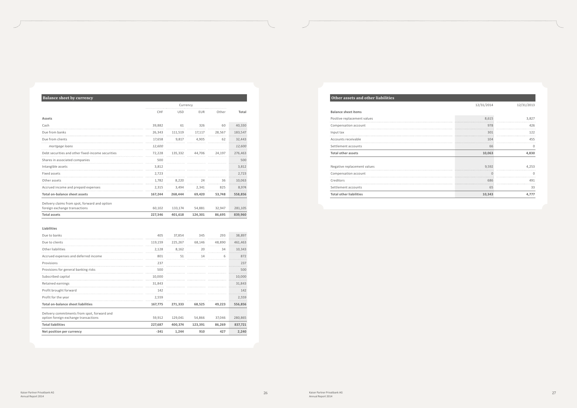### **Balance sheet by currency**

|                                                   |         | Currency   |            |        |         |
|---------------------------------------------------|---------|------------|------------|--------|---------|
|                                                   | CHF     | <b>USD</b> | <b>EUR</b> | Other  | Total   |
| Assets                                            |         |            |            |        |         |
| Cash                                              | 39,882  | 61         | 326        | 60     | 40,330  |
| Due from banks                                    | 26,343  | 111,519    | 17,117     | 28,567 | 183,547 |
| Due from clients                                  | 17,658  | 9.817      | 4.905      | 62     | 32,443  |
| mortgage loans                                    | 12.600  |            |            |        | 12.600  |
| Debt securities and other fixed-income securities | 72,228  | 135.332    | 44.706     | 24.197 | 276,463 |
| Shares in associated companies                    | 500     |            |            |        | 500     |
| Intangible assets                                 | 3,812   |            |            |        | 3,812   |
| Fixed assets                                      | 2.723   |            |            |        | 2.723   |
| Other assets                                      | 1.782   | 8.220      | 24         | 36     | 10.063  |
| Accrued income and prepaid expenses               | 2,315   | 3,494      | 2,341      | 825    | 8,974   |
| <b>Total on-balance sheet assets</b>              | 167,244 | 268,444    | 69,420     | 53,748 | 558,856 |
| Delivery claims from spot, forward and option     |         |            |            |        |         |
| foreign exchange transactions                     | 60,102  | 133,174    | 54,881     | 32,947 | 281,105 |
| <b>Total assets</b>                               | 227,346 | 401.618    | 124,301    | 86.695 | 839,960 |

#### **Liabilities**

| Due to banks                                                                        | 405     | 37,854  | 345     | 293    | 38,897  |
|-------------------------------------------------------------------------------------|---------|---------|---------|--------|---------|
| Due to clients                                                                      | 119,159 | 225,267 | 68,146  | 48,890 | 461,463 |
| Other liabilities                                                                   | 2.128   | 8,162   | 20      | 34     | 10,343  |
| Accrued expenses and deferred income                                                | 801     | 51      | 14      | 6      | 872     |
| Provisions                                                                          | 237     |         |         |        | 237     |
| Provisions for general banking risks                                                | 500     |         |         |        | 500     |
| Subscribed capital                                                                  | 10,000  |         |         |        | 10,000  |
| Retained earnings                                                                   | 31.843  |         |         |        | 31,843  |
| Profit brought forward                                                              | 142     |         |         |        | 142     |
| Profit for the year                                                                 | 2,559   |         |         |        | 2,559   |
| <b>Total on-balance sheet liabilities</b>                                           | 167,775 | 271,333 | 68,525  | 49,223 | 556,856 |
| Delivery commitments from spot, forward and<br>option foreign exchange transactions | 59,912  | 129,041 | 54,866  | 37,046 | 280,865 |
| <b>Total liabilities</b>                                                            | 227,687 | 400,374 | 123,391 | 86,269 | 837,721 |
| Net position per currency                                                           | $-341$  | 1,244   | 910     | 427    | 2,240   |

### **Other assets and other liabilities**

|                             | 12/31/2014 | 12/31/2013 |
|-----------------------------|------------|------------|
| <b>Balance sheet items</b>  |            |            |
| Positive replacement values | 8,615      | 3.827      |
| Compensation account        | 978        | 426        |
| Input tax                   | 301        | 122        |
| Accounts receivable         | 104        | 455        |
| Settlement accounts         | 66         | 0          |
|                             |            |            |
| <b>Total other assets</b>   | 10,063     | 4,830      |
| Negative replacement values | 9,592      | 4.253      |
| Compensation account        |            |            |
| Creditors                   | 686        | 491        |
| Settlement accounts         | 65         | 33         |

| <b>Total other liabilities</b> |  |
|--------------------------------|--|
| Settlement accounts            |  |
| Creditors                      |  |
| Compensation account           |  |
|                                |  |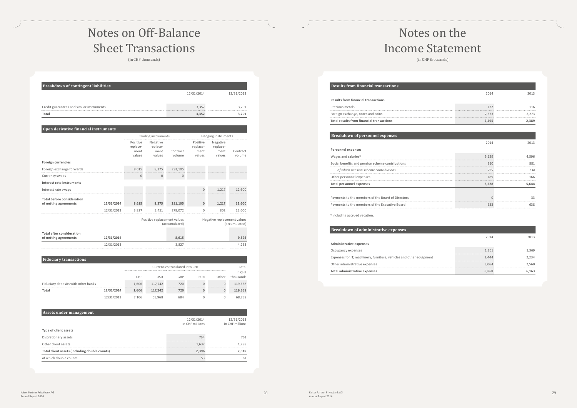## Notes on Off-Balance Sheet Transactions

(in CHF thousands)

| <b>Breakdown of contingent liabilities</b> |            |            |  |  |
|--------------------------------------------|------------|------------|--|--|
|                                            | 12/31/2014 | 12/31/2013 |  |  |
|                                            |            |            |  |  |
| Credit guarantees and similar instruments  | 3.352      | 3.201<br>  |  |  |
| Total                                      | 3.352      | 3.201      |  |  |

#### **Open derivative financial instruments**

|                                                            |            | Trading instruments                    |                                        |                    | Hedging instruments                    |                                        |                    |
|------------------------------------------------------------|------------|----------------------------------------|----------------------------------------|--------------------|----------------------------------------|----------------------------------------|--------------------|
|                                                            |            | Positive<br>replace-<br>ment<br>values | Negative<br>replace-<br>ment<br>values | Contract<br>volume | Positive<br>replace-<br>ment<br>values | Negative<br>replace-<br>ment<br>values | Contract<br>volume |
| <b>Foreign currencies</b>                                  |            |                                        |                                        |                    |                                        |                                        |                    |
| Foreign exchange forwards                                  |            | 8,615                                  | 8,375                                  | 281,105            |                                        |                                        |                    |
| Currency swaps                                             |            | $\mathbf{0}$                           | $\overline{0}$                         | $\Omega$           |                                        |                                        |                    |
| Interest rate instruments                                  |            |                                        |                                        |                    |                                        |                                        |                    |
| Interest rate swaps                                        |            |                                        |                                        |                    | $\overline{0}$                         | 1.217                                  | 12.600             |
| <b>Total before consideration</b><br>of netting agreements | 12/31/2014 | 8,615                                  | 8,375                                  | 281,105            | $\mathbf{0}$                           | 1,217                                  | 12,600             |
|                                                            | 12/31/2013 | 3,827                                  | 3,451                                  | 278.072            | $\Omega$                               | 802                                    | 13.600             |
|                                                            |            |                                        | Positive replacement values            | (accumulated)      |                                        | Negative replacement values            | (accumulated)      |
| <b>Total after consideration</b>                           |            |                                        |                                        |                    |                                        |                                        |                    |
| of netting agreements                                      | 12/31/2014 |                                        |                                        | 8,615              |                                        |                                        | 9,592              |
|                                                            | 12/31/2013 |                                        |                                        | 3,827              |                                        |                                        | 4,253              |

**Fiduciary transactions**

| فالمتعالية المتحامل المتحاول المتحاربين المتحاول المتحاول المتحاول المتحاول المتحاول والمتحاولات المتحاولات |            |                                |                           |                                  |     |                 |           |                                      |     |                           |                           |         |
|-------------------------------------------------------------------------------------------------------------|------------|--------------------------------|---------------------------|----------------------------------|-----|-----------------|-----------|--------------------------------------|-----|---------------------------|---------------------------|---------|
|                                                                                                             |            | Currencies translated into CHF |                           |                                  |     | Total<br>in CHF |           |                                      |     |                           |                           |         |
|                                                                                                             |            | CHF                            | USD                       | GBP                              | EUR | Other           | thousands |                                      |     |                           |                           |         |
| Fiduciary deposits with other banks                                                                         |            | 1.606                          | ************************* |                                  |     |                 |           | 117,242<br>************************* | 720 | ************************* | ************************* | 119,568 |
| Total                                                                                                       | 12/31/2014 | 1,606                          | 117,242                   | *************************<br>720 |     |                 | 119,568   |                                      |     |                           |                           |         |
|                                                                                                             | 12/31/2013 | 2.106                          | 65.968                    |                                  |     |                 | 68,758    |                                      |     |                           |                           |         |

| Assets under management                       |                               |                               |  |  |  |
|-----------------------------------------------|-------------------------------|-------------------------------|--|--|--|
|                                               | 12/31/2014<br>in CHF millions | 12/31/2013<br>in CHF millions |  |  |  |
| Type of client assets                         |                               |                               |  |  |  |
| Discretionary assets                          | 764                           | 761                           |  |  |  |
| Other client assets                           | 1,632                         | 1.288                         |  |  |  |
| Total client assets (including double counts) | 2.396                         | 2.049                         |  |  |  |
| of which double counts                        | 53                            | 61                            |  |  |  |

# Notes on the Income Statement

(in CHF thousands)

|                                                             | 2014  | 2013        |
|-------------------------------------------------------------|-------|-------------|
| <b>Results from financial transactions</b>                  |       |             |
| Precious metals                                             | 122   | 116         |
| Foreign exchange, notes and coins                           | 2,373 | 2,273       |
| <b>Total results from financial transactions</b>            | 2,495 | 2,389       |
|                                                             |       |             |
| <b>Breakdown of personnel expenses</b>                      |       |             |
|                                                             | 2014  | 2013        |
| <b>Personnel expenses</b>                                   |       |             |
| Wages and salaries <sup>1)</sup>                            | 5.129 | 4.596       |
| Social benefits and pension scheme contributions            | 910   | 881         |
|                                                             |       |             |
| of which pension scheme contributions                       | 759   | 734         |
|                                                             | 189   | 166         |
| Other personnel expenses<br><b>Total personnel expenses</b> | 6,228 |             |
| Payments to the members of the Board of Directors           |       | 5.644<br>33 |

 $1)$  Including accrued vacation.

#### **Breakdown of administrative**

| Dreamdown of authentistiative expenses                              |       |     |
|---------------------------------------------------------------------|-------|-----|
|                                                                     |       |     |
| Administrative expenses                                             |       |     |
| Occupancy expenses                                                  | 1.361 | 369 |
| Expenses for IT, machinery, furniture, vehicles and other equipment | 2.444 |     |
| Other administrative expenses                                       | 3.064 | 560 |
| <b>Total administrative expenses</b>                                |       |     |
|                                                                     |       |     |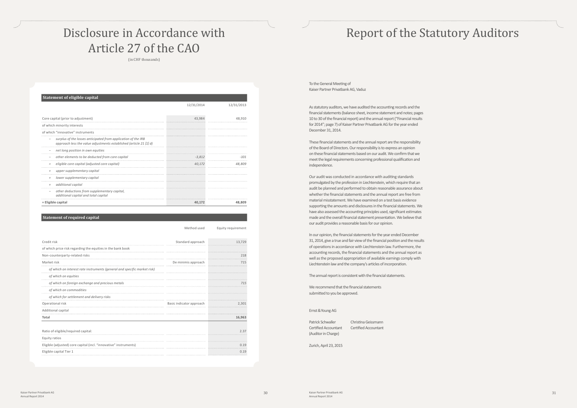#### **Statement of required capital**

Method used Equity requirement

| Credit risk                                                              | Standard approach        | 13.729 |
|--------------------------------------------------------------------------|--------------------------|--------|
| of which price risk regarding the equities in the bank book              |                          |        |
| Non-counterparty-related risks                                           |                          | 218    |
| Market risk                                                              | De minimis approach      | 715    |
| of which on interest rate instruments (general and specific market risk) |                          |        |
| of which on equities                                                     |                          |        |
| of which on foreign exchange and precious metals                         |                          | 715    |
| of which on commodities                                                  |                          |        |
| of which for settlement and delivery risks                               |                          |        |
| Operational risk                                                         | Basic indicator approach | 2.301  |
| Additional capital                                                       |                          |        |
| Total                                                                    |                          | 16,963 |
| Ratio of eligible/required capital:                                      |                          | 2.37   |
| Equity ratios                                                            |                          |        |
| Eligible (adjusted) core capital (incl. "innovative" instruments)        |                          | 0.19   |
| Eligible capital Tier 1                                                  |                          | 0.19   |

| <b>Statement of eligible capital</b>                                                                                                |            |            |
|-------------------------------------------------------------------------------------------------------------------------------------|------------|------------|
|                                                                                                                                     | 12/31/2014 | 12/31/2013 |
|                                                                                                                                     |            |            |
| Core capital (prior to adjustment)                                                                                                  | 43.984     | 48.910     |
| of which minority interests                                                                                                         |            |            |
| of which "innovative" instruments                                                                                                   |            |            |
| surplus of the losses anticipated from application of the IRB<br>approach less the value adjustments established (article 21 [1] d) |            |            |
| net long position in own equities                                                                                                   |            |            |
| other elements to be deducted from core capital                                                                                     | $-3.812$   | -101       |
| eligible core capital (adjusted core capital)<br>$\qquad \qquad =$                                                                  | 40.172     | 48.809     |
| upper supplementary capital<br>$^{+}$                                                                                               |            |            |
| lower supplementary capital<br>$^{+}$                                                                                               |            |            |
| additional capital<br>$^{+}$                                                                                                        |            |            |
| other deductions from supplementary capital,<br>$\overline{\phantom{m}}$<br>additional capital and total capital                    |            |            |
| = Eligible capital                                                                                                                  | 40.172     | 48.809     |

To the General Meeting of Kaiser Partner Privatbank AG, Vaduz

As statutory auditors, we have audited the accounting records and the financial statements (balance sheet, income statement and notes; pages 10 to 30 of the financial report) and the annual report ("Financial results for 2014"; page 7) of Kaiser Partner Privatbank AG for the year ended December 31, 2014.

Patrick Schwaller Christina Geissmann Certified Accountant Certified Accountant (Auditor in Charge)

These financial statements and the annual report are the responsibility of the Board of Directors. Our responsibility is to express an opinion on these financial statements based on our audit. We confirm that we meet the legal requirements concerning professional qualification and independence.

Our audit was conducted in accordance with auditing standards promulgated by the profession in Liechtenstein, which require that an audit be planned and performed to obtain reasonable assurance about whether the financial statements and the annual report are free from material misstatement. We have examined on a test basis evidence supporting the amounts and disclosures in the financial statements. We have also assessed the accounting principles used, significant estimates made and the overall financial statement presentation. We believe that our audit provides a reasonable basis for our opinion.

In our opinion, the financial statements for the year ended December 31, 2014, give a true and fair view of the financial position and the results of operations in accordance with Liechtenstein law. Furthermore, the accounting records, the financial statements and the annual report as well as the proposed appropriation of available earnings comply with Liechtenstein law and the company's articles of incorporation.

The annual report is consistent with the financial statements.

We recommend that the financial statements submitted to you be approved.

Ernst & Young AG

Zurich, April 23, 2015

### Disclosure in Accordance with Article 27 of the CAO

(in CHF thousands)

# Report of the Statutory Auditors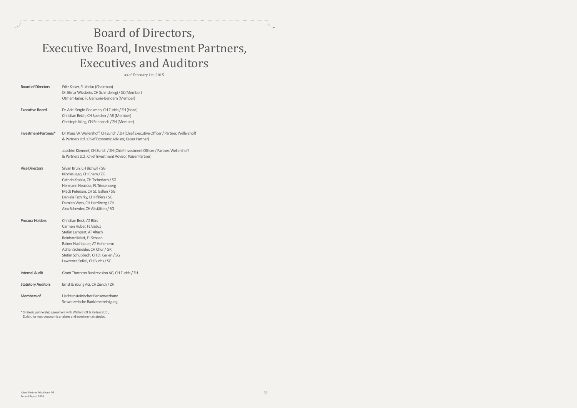## Board of Directors, Executive Board, Investment Partners, Executives and Auditors

as of February 1st, 2015

| <b>Board of Directors</b> | Fritz Kaiser, FL Vaduz (Chairman)<br>Dr. Elmar Wiederin, CH Schindellegi / SZ (Member)<br>Otmar Hasler, FL Gamprin-Bendern (Member)                                                                                                                                                    |
|---------------------------|----------------------------------------------------------------------------------------------------------------------------------------------------------------------------------------------------------------------------------------------------------------------------------------|
| <b>Executive Board</b>    | Dr. Ariel Sergio Goekmen, CH Zurich / ZH (Head)<br>Christian Reich, CH Speicher / AR (Member)<br>Christoph Küng, CH Erlenbach / ZH (Member)                                                                                                                                            |
| Investment-Partners*      | Dr. Klaus W. Wellershoff, CH Zurich / ZH (Chief Executive Officer / Partner, Wellershoff<br>& Partners Ltd.; Chief Economic Advisor, Kaiser Partner)                                                                                                                                   |
|                           | Joachim Klement, CH Zurich / ZH (Chief Investment Officer / Partner, Wellershoff<br>& Partners Ltd.; Chief Investment Advisor, Kaiser Partner)                                                                                                                                         |
| <b>Vice Directors</b>     | Silvan Brun, CH Bichwil / SG<br>Nicolas Jego, CH Cham / ZG<br>Cathrin Kratzla, CH Tscherlach / SG<br>Hermann Neusüss, FL Triesenberg<br>Mads Petersen, CH St. Gallen / SG<br>Daniela Tschirky, CH Pfäfers / SG<br>Damien Wyss, CH Herrliberg / ZH<br>Alex Schnyder, CH Altstätten / SG |
| <b>Procura Holders</b>    | Christian Beck, AT Bürs<br>Carmen Huber, FL Vaduz<br>Stefan Lampert, AT Altach<br>Reinhard Matt, FL Schaan<br>Rainer Nachbauer, AT Hohenems<br>Adrian Schneider, CH Chur / GR<br>Stefan Schüpbach, CH St. Gallen / SG<br>Lawrence Seikel, CH Buchs / SG                                |
| <b>Internal Audit</b>     | Grant Thornton Bankrevision AG, CH Zurich / ZH                                                                                                                                                                                                                                         |
| <b>Statutory Auditors</b> | Ernst & Young AG, CH Zurich / ZH                                                                                                                                                                                                                                                       |
| <b>Members of</b>         | Liechtensteinischer Bankenverband<br>Schweizerische Bankiervereinigung                                                                                                                                                                                                                 |

\* Strategic partnership agreement with Wellershoff & Partners Ltd., Zurich, for macroeconomic analyses and investment strategies.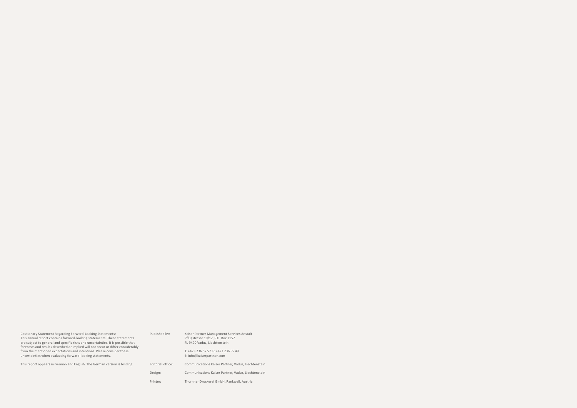| Cautionary Statement Regarding Forward-Looking Statements:                                                                                                           | Published by:     | Kaiser Partner Management Services Anstalt          |
|----------------------------------------------------------------------------------------------------------------------------------------------------------------------|-------------------|-----------------------------------------------------|
| This annual report contains forward-looking statements. These statements                                                                                             |                   | Pflugstrasse 10/12, P.O. Box 1157                   |
| are subject to general and specific risks and uncertainties. It is possible that<br>forecasts and results described or implied will not occur or differ considerably |                   | FL-9490 Vaduz, Liechtenstein                        |
| from the mentioned expectations and intentions. Please consider these                                                                                                |                   | T: +423 236 57 57, F: +423 236 55 49                |
| uncertainties when evaluating forward-looking statements.                                                                                                            |                   | E: info@kaiserpartner.com                           |
| This report appears in German and English. The German version is binding.                                                                                            | Editorial office: | Communications Kaiser Partner, Vaduz, Liechtenstein |
|                                                                                                                                                                      | Design:           | Communications Kaiser Partner, Vaduz, Liechtenstein |
|                                                                                                                                                                      | Printer:          | Thurnher Druckerei GmbH, Rankweil, Austria          |